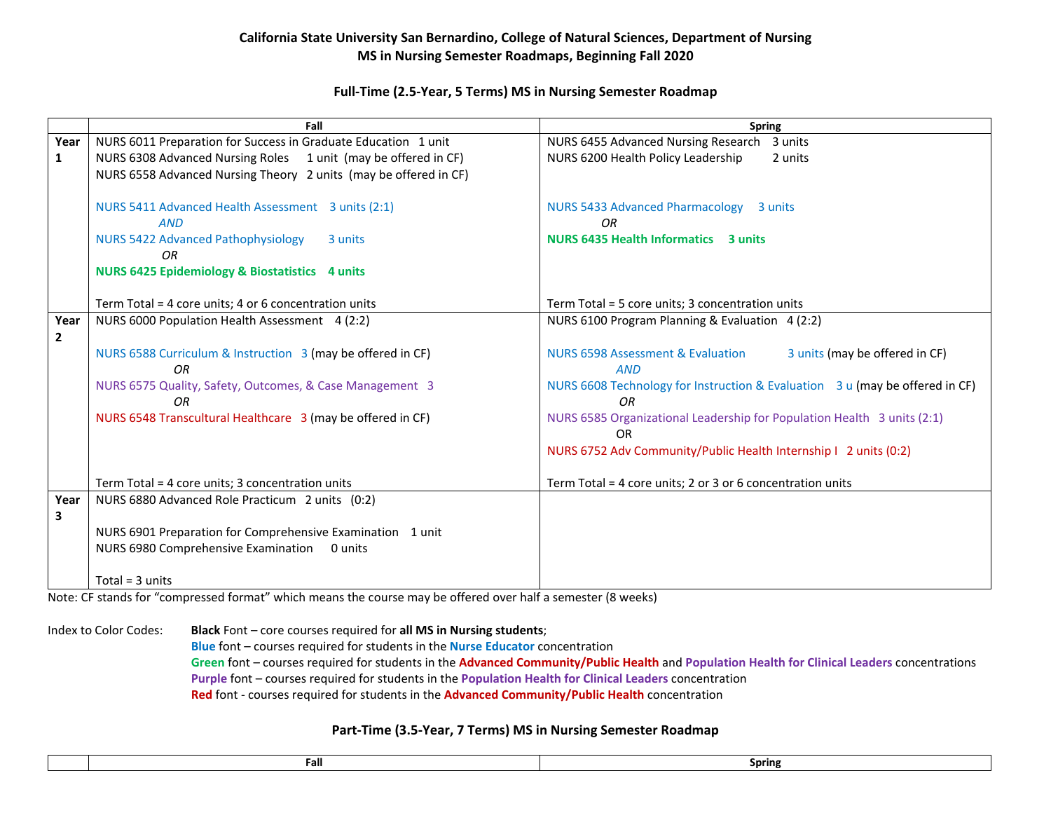## **California State University San Bernardino, College of Natural Sciences, Department of Nursing MS in Nursing Semester Roadmaps, Beginning Fall 2020**

## **Full-Time (2.5-Year, 5 Terms) MS in Nursing Semester Roadmap**

|              | Fall                                                             | <b>Spring</b>                                                                  |
|--------------|------------------------------------------------------------------|--------------------------------------------------------------------------------|
| Year         | NURS 6011 Preparation for Success in Graduate Education 1 unit   | NURS 6455 Advanced Nursing Research<br>3 units                                 |
| $\mathbf{1}$ | NURS 6308 Advanced Nursing Roles 1 unit (may be offered in CF)   | NURS 6200 Health Policy Leadership<br>2 units                                  |
|              | NURS 6558 Advanced Nursing Theory 2 units (may be offered in CF) |                                                                                |
|              |                                                                  |                                                                                |
|              | NURS 5411 Advanced Health Assessment 3 units (2:1)               | <b>NURS 5433 Advanced Pharmacology</b><br>3 units                              |
|              | <b>AND</b>                                                       | OR                                                                             |
|              | <b>NURS 5422 Advanced Pathophysiology</b><br>3 units             | <b>NURS 6435 Health Informatics 3 units</b>                                    |
|              | <b>OR</b>                                                        |                                                                                |
|              | <b>NURS 6425 Epidemiology &amp; Biostatistics 4 units</b>        |                                                                                |
|              |                                                                  |                                                                                |
|              | Term Total = 4 core units; 4 or 6 concentration units            | Term Total = 5 core units; 3 concentration units                               |
| Year         | NURS 6000 Population Health Assessment 4 (2:2)                   | NURS 6100 Program Planning & Evaluation 4 (2:2)                                |
| $\mathbf{2}$ |                                                                  |                                                                                |
|              | NURS 6588 Curriculum & Instruction 3 (may be offered in CF)      | <b>NURS 6598 Assessment &amp; Evaluation</b><br>3 units (may be offered in CF) |
|              | 0 <sub>R</sub>                                                   | <b>AND</b>                                                                     |
|              | NURS 6575 Quality, Safety, Outcomes, & Case Management 3         | NURS 6608 Technology for Instruction & Evaluation 3 u (may be offered in CF)   |
|              | OR.                                                              | OR.                                                                            |
|              | NURS 6548 Transcultural Healthcare 3 (may be offered in CF)      | NURS 6585 Organizational Leadership for Population Health 3 units (2:1)        |
|              |                                                                  | <b>OR</b>                                                                      |
|              |                                                                  | NURS 6752 Adv Community/Public Health Internship I 2 units (0:2)               |
|              |                                                                  |                                                                                |
|              | Term Total = 4 core units; 3 concentration units                 | Term Total = 4 core units; 2 or 3 or 6 concentration units                     |
| Year         | NURS 6880 Advanced Role Practicum 2 units (0:2)                  |                                                                                |
| 3            |                                                                  |                                                                                |
|              | NURS 6901 Preparation for Comprehensive Examination 1 unit       |                                                                                |
|              | NURS 6980 Comprehensive Examination<br>0 units                   |                                                                                |
|              |                                                                  |                                                                                |
|              | Total = $3$ units                                                |                                                                                |

Note: CF stands for "compressed format" which means the course may be offered over half a semester (8 weeks)

Index to Color Codes: **Black** Font – core courses required for **all MS in Nursing students**;

**Blue** font – courses required for students in the **Nurse Educator** concentration **Green** font – courses required for students in the **Advanced Community/Public Health** and **Population Health for Clinical Leaders** concentrations **Purple** font – courses required for students in the **Population Health for Clinical Leaders** concentration **Red** font - courses required for students in the **Advanced Community/Public Health** concentration

## **Part-Time (3.5-Year, 7 Terms) MS in Nursing Semester Roadmap**

|  | Fall | <b>Spring</b> |
|--|------|---------------|
|  |      |               |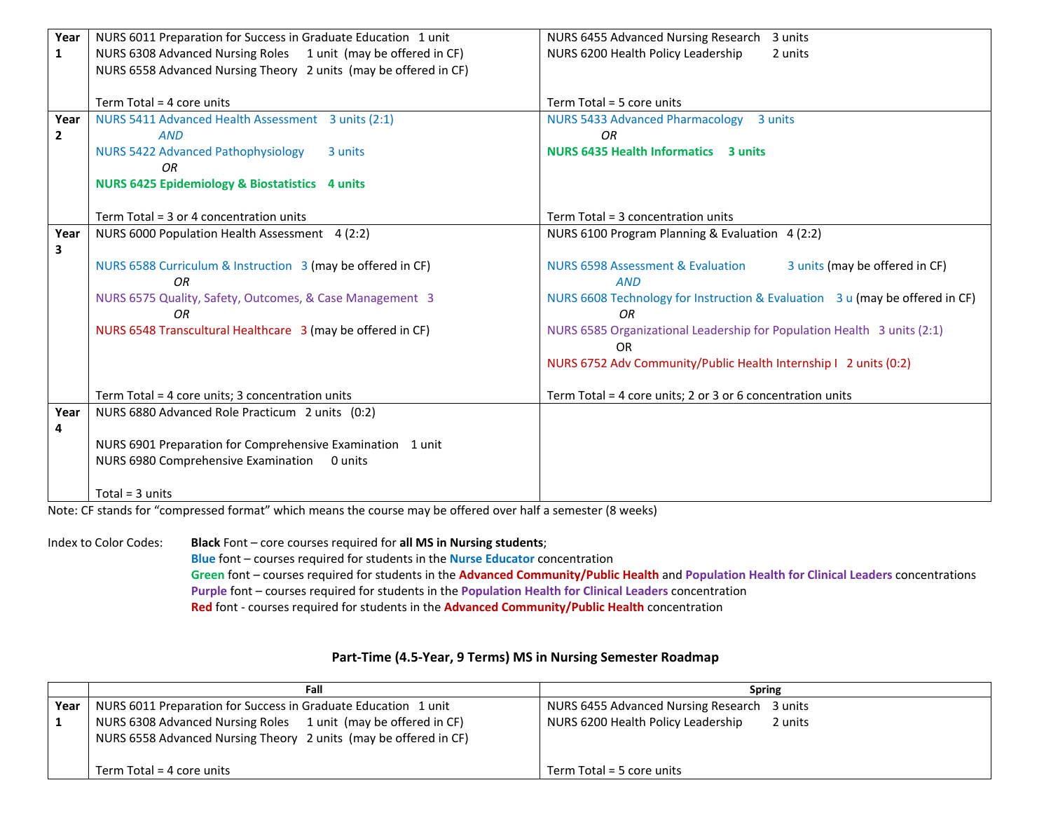| Year                    | NURS 6011 Preparation for Success in Graduate Education 1 unit           | NURS 6455 Advanced Nursing Research<br>3 units                                               |
|-------------------------|--------------------------------------------------------------------------|----------------------------------------------------------------------------------------------|
| $\mathbf{1}$            | NURS 6308 Advanced Nursing Roles 1 unit (may be offered in CF)           | NURS 6200 Health Policy Leadership<br>2 units                                                |
|                         | NURS 6558 Advanced Nursing Theory 2 units (may be offered in CF)         |                                                                                              |
|                         |                                                                          |                                                                                              |
|                         | Term Total = 4 core units                                                | Term Total = 5 core units                                                                    |
| Year                    | NURS 5411 Advanced Health Assessment 3 units (2:1)                       | <b>NURS 5433 Advanced Pharmacology</b><br>3 units                                            |
| $\overline{\mathbf{2}}$ | <b>AND</b>                                                               | <b>OR</b>                                                                                    |
|                         | <b>NURS 5422 Advanced Pathophysiology</b><br>3 units                     | <b>NURS 6435 Health Informatics 3 units</b>                                                  |
|                         | OR                                                                       |                                                                                              |
|                         | <b>NURS 6425 Epidemiology &amp; Biostatistics 4 units</b>                |                                                                                              |
|                         |                                                                          |                                                                                              |
|                         | Term Total = 3 or 4 concentration units                                  | Term Total = 3 concentration units                                                           |
| Year                    | NURS 6000 Population Health Assessment 4 (2:2)                           | NURS 6100 Program Planning & Evaluation 4 (2:2)                                              |
| 3                       |                                                                          |                                                                                              |
|                         | NURS 6588 Curriculum & Instruction 3 (may be offered in CF)<br><b>OR</b> | <b>NURS 6598 Assessment &amp; Evaluation</b><br>3 units (may be offered in CF)<br><b>AND</b> |
|                         | NURS 6575 Quality, Safety, Outcomes, & Case Management 3<br>0R           | NURS 6608 Technology for Instruction & Evaluation 3 u (may be offered in CF)<br>OR.          |
|                         | NURS 6548 Transcultural Healthcare 3 (may be offered in CF)              | NURS 6585 Organizational Leadership for Population Health 3 units (2:1)<br><b>OR</b>         |
|                         |                                                                          | NURS 6752 Adv Community/Public Health Internship   2 units (0:2)                             |
|                         | Term Total = 4 core units; 3 concentration units                         | Term Total = 4 core units; 2 or 3 or 6 concentration units                                   |
| Year                    | NURS 6880 Advanced Role Practicum 2 units (0:2)                          |                                                                                              |
| 4                       |                                                                          |                                                                                              |
|                         | NURS 6901 Preparation for Comprehensive Examination 1 unit               |                                                                                              |
|                         | NURS 6980 Comprehensive Examination<br>0 units                           |                                                                                              |
|                         |                                                                          |                                                                                              |
|                         | Total = $3$ units                                                        |                                                                                              |

Note: CF stands for "compressed format" which means the course may be offered over half a semester (8 weeks)

Index to Color Codes: **Black** Font – core courses required for **all MS in Nursing students**; **Blue** font – courses required for students in the **Nurse Educator** concentration **Green** font – courses required for students in the **Advanced Community/Public Health** and **Population Health for Clinical Leaders** concentrations **Purple** font – courses required for students in the **Population Health for Clinical Leaders** concentration **Red** font - courses required for students in the **Advanced Community/Public Health** concentration

## **Part-Time (4.5-Year, 9 Terms) MS in Nursing Semester Roadmap**

|        | Fall                                                                                                                               | <b>Spring</b>                                 |
|--------|------------------------------------------------------------------------------------------------------------------------------------|-----------------------------------------------|
| Year I | NURS 6011 Preparation for Success in Graduate Education 1 unit                                                                     | NURS 6455 Advanced Nursing Research 3 units   |
|        | NURS 6308 Advanced Nursing Roles 1 unit (may be offered in CF)<br>NURS 6558 Advanced Nursing Theory 2 units (may be offered in CF) | NURS 6200 Health Policy Leadership<br>2 units |
|        | Term Total = 4 core units                                                                                                          | Term Total = 5 core units                     |